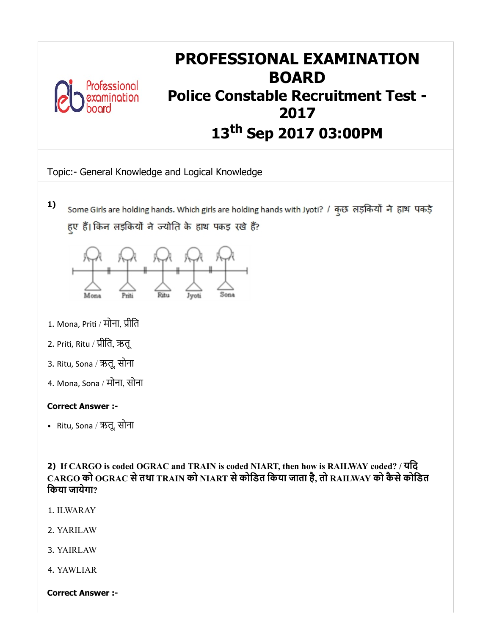

# PROFESSIONAL EXAMINATION BOARD Police Constable Recruitment Test - 2017 13 th Sep 2017 03:00PM

Topic:- General Knowledge and Logical Knowledge

1) Some Girls are holding hands. Which girls are holding hands with Jyoti? / कुछ लड़कियों ने हाथ पकड़े हुए हैं।किन लड़कियों ने ज्योति के हाथ पकड़ रखे हैं?



- 1. Mona, Priti / मोना, प्रीति
- 2. Priti, Ritu / प्रीति, ऋतू
- 3. Ritu, Sona / ऋतू, सोना
- 4. Mona, Sona / मोना, सोना

## Correct Answer :-

Ritu, Sona / ऋतू, सोना

2) If CARGO is coded OGRAC and TRAIN is coded NIART, then how is RAILWAY coded? / यिद CARGO को OGRAC सेतथा TRAIN को NIART सेकोिडत िकया जाता है, तो RAILWAY को कैसेकोिडत िकया जायेगा?

- 1. ILWARAY
- 2. YARILAW
- 3. YAIRLAW
- 4. YAWLIAR

Correct Answer :-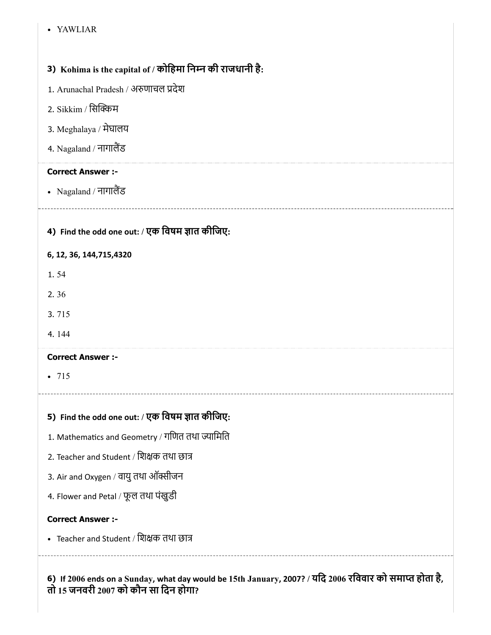#### YAWLIAR

## 3) Kohima is the capital of / कोिहमा िनन की राजधानी है:

- 1. Arunachal Pradesh / अणाचल देश
- 2. Sikkim / सिक्किम
- 3. Meghalaya / मेघालय
- 4. Nagaland / नागालैंड

## Correct Answer :-

- Nagaland / नागालैंड
- 4) Find the odd one out: / एक विषम ज्ञात कीजिए:

## 6, 12, 36, 144,715,4320

- 1. 54
- 2. 36
- 3. 715
- 4. 144

### Correct Answer :-

 $• 715$ 

## 5) Find the odd one out: / एक विषम ज्ञात कीजिए:

- 1. Mathematics and Geometry / गणित तथा ज्यामिति
- 2. Teacher and Student / िशक तथा छा
- 3. Air and Oxygen / वायु तथा ऑक्सीजन
- 4. Flower and Petal / फूल तथा पंखुडी

## Correct Answer :-

• Teacher and Student / शिक्षक तथा छात्र

6) If 2006 ends on a Sunday, what day would be 15th January, 2007? / यिद 2006 रिववार को समा होता है, तो 15 जनवरी 2007 को कौन सा िदन होगा?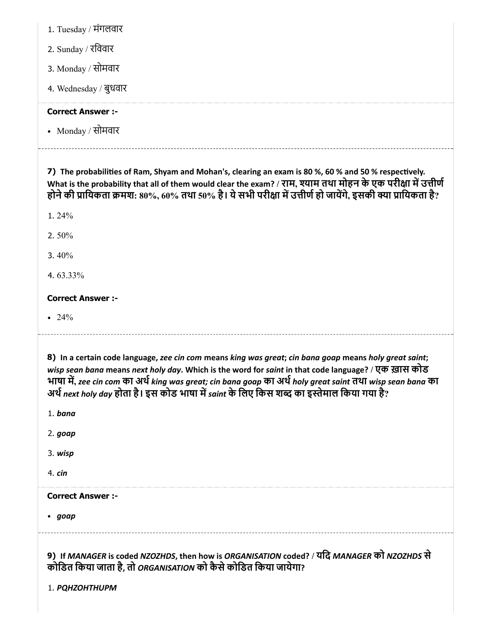1. Tuesday / मंगलवार

2. Sunday / रिववार

3. Monday / सोमवार

4. Wednesday / बुधवार

## Correct Answer :-

Monday / सोमवार

7) The probabilities of Ram, Shyam and Mohan's, clearing an exam is 80 %, 60 % and 50 % respectively. What is the probability that all of them would clear the exam? / राम, श्याम तथा मोहन के एक परीक्षा में उत्तीर्ण होने की प्रायिकता क्रमश: 80%, 60% तथा 50% है। ये सभी परीक्षा में उत्तीर्ण हो जायेंगे, इसकी क्या प्रायिकता है?

1. 24%

2. 50%

3. 40%

4. 63.33%

## Correct Answer :-

• 24%

8) In a certain code language, zee cin com means king was great; cin bana goap means holy great saint; wisp sean bana means next holy day. Which is the word for saint in that code language? / एक ख़ास कोड भाषा में, zee cin com का अर्थ king was great; cin bana goap का अर्थ holy great saint तथा wisp sean bana का अर्थ next holy day होता है। इस कोड भाषा में saint के लिए किस शब्द का इस्तेमाल किया गया है?

1. bana

2. goap

3. wisp

4. cin

Correct Answer :-

• goap

9) If MANAGER is coded NZOZHDS, then how is ORGANISATION coded? / यिद MANAGER को NZOZHDS से कोडित किया जाता है, तो ORGANISATION को कैसे कोडित किया जायेगा?

1. PQHZOHTHUPM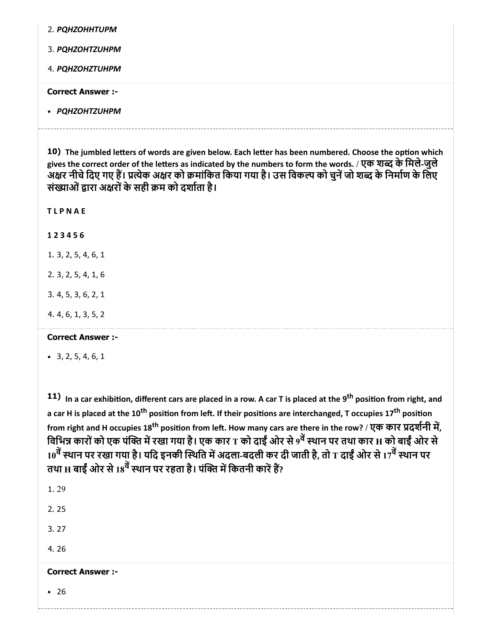| 2. PQHZOHHTUPM          |
|-------------------------|
| 3. PQHZOHTZUHPM         |
| 4. PQHZOHZTUHPM         |
| <b>Correct Answer:-</b> |
| • PQHZOHTZUHPM          |

10) The jumbled letters of words are given below. Each letter has been numbered. Choose the option which gives the correct order of the letters as indicated by the numbers to form the words. / एक शब्द के मिले-जुले -<br>अक्षर नीचे दिए गए हैं। प्रत्येक अक्षर को क्रमांकित किया गया है। उस विकल्प को चुनें जो शब्द के निर्माण के लिए संख्याओं द्वारा अक्षरों के सही क्रम को दर्शाता है।

**TLPNAE** 

1 2 3 4 5 6

1. 3, 2, 5, 4, 6, 1

2. 3, 2, 5, 4, 1, 6

3. 4, 5, 3, 6, 2, 1

4. 4, 6, 1, 3, 5, 2

#### Correct Answer :-

 $-3, 2, 5, 4, 6, 1$ 

11) In a car exhibition, different cars are placed in a row. A car T is placed at the 9<sup>th</sup> position from right, and a car H is placed at the 10<sup>th</sup> position from left. If their positions are interchanged, T occupies 17<sup>th</sup> position from right and H occupies 18<sup>th</sup> position from left. How many cars are there in the row? / एक कार प्रदर्शनी में, विभिन्न कारों को एक पंक्ति में रखा गया है। एक कार T को दाईं ओर से 9<sup>वे</sup> स्थान पर तथा कार H को बाईं ओर से 10<sup>वे</sup> स्थान पर रखा गया है। यदि इनकी स्थिति में अदला-बदली कर दी जाती है, तो T दाईं ओर से 17<sup>वे</sup> स्थान पर तथा H बाईं ओर से 18<sup>वे</sup> स्थान पर रहता है। पंक्ति में कितनी कारें हैं?

1. 29 2. 25 3. 27 4. 26 Correct Answer :- 26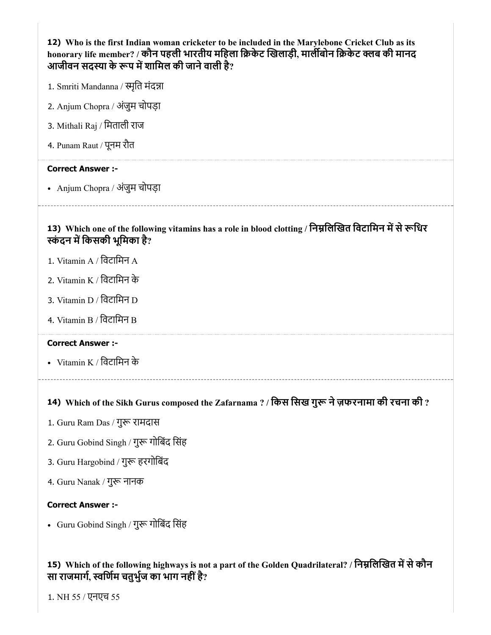| 12) Who is the first Indian woman cricketer to be included in the Marylebone Cricket Club as its<br>honorary life member? / कौन पहली भारतीय महिला क्रिकेट खिलाड़ी, मार्लीबोन क्रिकेट क्लब की मानद<br>आजीवन सदस्या के रूप में शामिल की जाने वाली है? |
|-----------------------------------------------------------------------------------------------------------------------------------------------------------------------------------------------------------------------------------------------------|
| 1. Smriti Mandanna / स्मृति मंदन्ना                                                                                                                                                                                                                 |
| 2. Anjum Chopra / अंजुम चोपड़ा                                                                                                                                                                                                                      |
| 3. Mithali Raj / मिताली राज                                                                                                                                                                                                                         |
| 4. Punam Raut / पूनम रौत                                                                                                                                                                                                                            |
| <b>Correct Answer :-</b>                                                                                                                                                                                                                            |
| • Anjum Chopra / अंजुम चोपड़ा                                                                                                                                                                                                                       |
| 13) Which one of the following vitamins has a role in blood clotting / निम्नलिखित विटामिन में से रूधिर<br>स्कंदन में किसकी भूमिका है?                                                                                                               |
| 1. Vitamin A / विटामिन A                                                                                                                                                                                                                            |
| 2. Vitamin K / विटामिन के                                                                                                                                                                                                                           |
| 3. Vitamin D / विटामिन D                                                                                                                                                                                                                            |
| 4. Vitamin B / विटामिन B                                                                                                                                                                                                                            |
| <b>Correct Answer :-</b>                                                                                                                                                                                                                            |
| • Vitamin K / विटामिन के                                                                                                                                                                                                                            |
| 14) Which of the Sikh Gurus composed the Zafarnama ? / किस सिख गुरू ने ज़फरनामा की रचना की ?                                                                                                                                                        |
| 1. Guru Ram Das / गुरू रामदास                                                                                                                                                                                                                       |
| 2. Guru Gobind Singh / गुरू गोबिंद सिंह                                                                                                                                                                                                             |
| 3. Guru Hargobind / गुरू हरगोबिंद                                                                                                                                                                                                                   |
| 4. Guru Nanak / गुरू नानक                                                                                                                                                                                                                           |
| <b>Correct Answer :-</b>                                                                                                                                                                                                                            |
| • Guru Gobind Singh / गुरू गोबिंद सिंह                                                                                                                                                                                                              |

## 15) Which of the following highways is not a part of the Golden Quadrilateral? / निम्नलिखित में से कौन सा राजमार्ग, स्वर्णिम चतुर्भुज का भाग नहीं है?

1. NH 55 / एनएच 55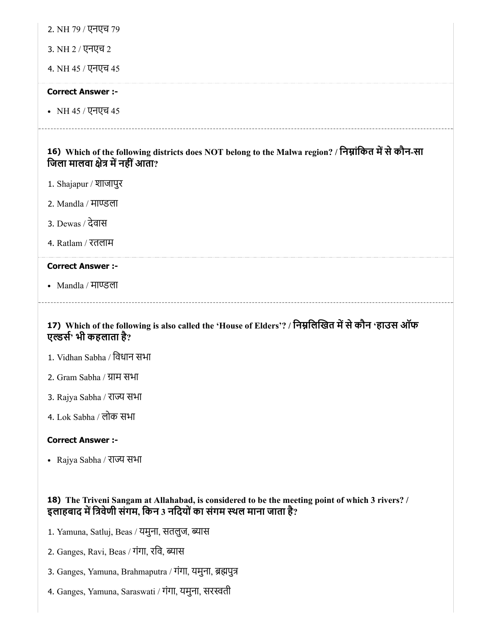2. NH 79 / एनएच 79

3. NH 2 / एनएच 2

4. NH 45 / एनएच 45

#### Correct Answer :-

NH 45 / एनएच 45

16) Which of the following districts does NOT belong to the Malwa region? / निम्नांकित में से कौन-सा जिला मालवा क्षेत्र में नहीं आता?

- 1. Shajapur / शाजापुर
- 2. Mandla / माण्डला
- 3. Dewas / देवास
- 4. Ratlam / रतलाम

#### Correct Answer :-

• Mandla / माण्डला

## 17) Which of the following is also called the 'House of Elders'? / निम्नलिखित में से कौन 'हाउस ऑफ एल्डर्स' भी कहलाता है?

- 1. Vidhan Sabha / िवधान सभा
- 2. Gram Sabha / ाम सभा
- 3. Rajya Sabha / राज्य सभा
- 4. Lok Sabha / लोक सभा

#### Correct Answer :-

• Rajya Sabha / राज्य सभा

## 18) The Triveni Sangam at Allahabad, is considered to be the meeting point of which 3 rivers? / इलाहबाद में त्रिवेणी संगम, किन 3 नदियों का संगम स्थल माना जाता है?

- 1. Yamuna, Satluj, Beas / यमुना, सतलुज, ब्यास
- 2. Ganges, Ravi, Beas / गंगा, रवि, ब्यास
- 3. Ganges, Yamuna, Brahmaputra / गंगा, यमुना, पु
- 4. Ganges, Yamuna, Saraswati / गंगा, यमुना, सरती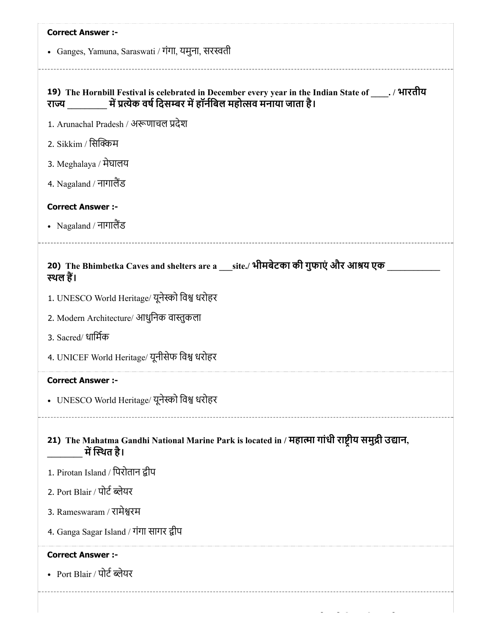| <b>Correct Answer :-</b>                                                                                                                                                     |
|------------------------------------------------------------------------------------------------------------------------------------------------------------------------------|
| • Ganges, Yamuna, Saraswati / गंगा, यमुना, सरस्वती                                                                                                                           |
|                                                                                                                                                                              |
| 19) The Hornbill Festival is celebrated in December every year in the Indian State of _____. / भारतीय<br>राज्य यों प्रत्येक वर्ष दिसम्बर में हॉर्नबिल महोत्सव मनाया जाता है। |
| 1. Arunachal Pradesh / अरूणाचल प्रदेश                                                                                                                                        |
| 2. Sikkim / सिक्किम                                                                                                                                                          |
| 3. Meghalaya / मेघालय                                                                                                                                                        |
| 4. Nagaland / नागालैंड                                                                                                                                                       |
| <b>Correct Answer :-</b>                                                                                                                                                     |
| • Nagaland / नागालैंड                                                                                                                                                        |
|                                                                                                                                                                              |
| 20) The Bhimbetka Caves and shelters are a ___site./ भीमबेटका की गुफाएं और आश्रय एक<br>स्थल हैं।                                                                             |
| 1. UNESCO World Heritage/ यूनेस्को विश्व धरोहर                                                                                                                               |
| 2. Modern Architecture/ आधुनिक वास्तुकला                                                                                                                                     |
| 3. Sacred/ धार्मिक                                                                                                                                                           |
| 4. UNICEF World Heritage/ यूनीसेफ विश्व धरोहर                                                                                                                                |
| Correct Answer :-                                                                                                                                                            |
| • UNESCO World Heritage/ यूनेस्को विश्व धरोहर                                                                                                                                |
| 21) The Mahatma Gandhi National Marine Park is located in / महात्मा गांधी राष्ट्रीय समुद्री उद्यान,<br>में स्थित है।                                                         |
| 1. Pirotan Island / पिरोतान द्वीप                                                                                                                                            |
| 2. Port Blair / पोर्ट ब्लेयर                                                                                                                                                 |
| 3. Rameswaram / रामेश्वरम                                                                                                                                                    |
| 4. Ganga Sagar Island / गंगा सागर द्वीप                                                                                                                                      |
| <b>Correct Answer :-</b>                                                                                                                                                     |
| • Port Blair / पोर्ट ब्लेयर                                                                                                                                                  |
|                                                                                                                                                                              |
|                                                                                                                                                                              |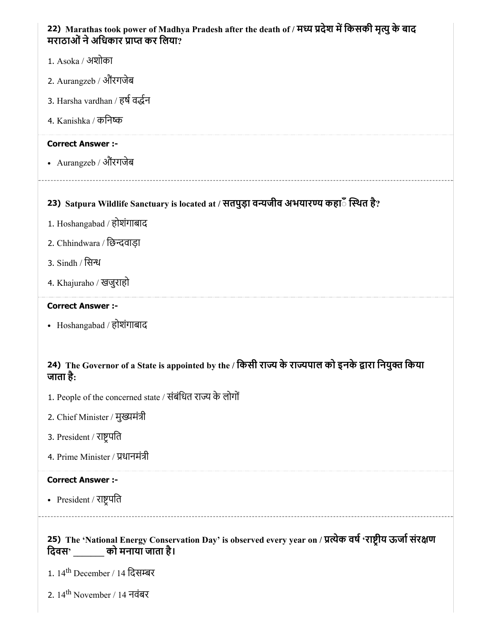## 22) Marathas took power of Madhya Pradesh after the death of / मध्य प्रदेश में किसकी मृत्यु के बाद मराठाओं ने अधिकार प्राप्त कर लिया?

- 1. Asoka / अशोका
- 2. Aurangzeb / औरगजेब
- 3. Harsha vardhan / हर्ष वर्द्धन
- 4. Kanishka / किनक

### Correct Answer :-

• Aurangzeb / औरंगजेब

## 23) Satpura Wildlife Sanctuary is located at / सतपुड़ा वन्यजीव अभयारण्य कहा**ं स्थित है**?

- 1. Hoshangabad / होशंगाबाद
- 2. Chhindwara / छिन्दवाड़ा
- 3. Sindh / िस
- 4. Khajuraho / खजुराहो

#### Correct Answer :-

Hoshangabad / होशंगाबाद

## 24) The Governor of a State is appointed by the / किसी राज्य के राज्यपाल को इनके द्वारा नियुक्त किया जाता है:

- 1. People of the concerned state / संबंधित राज्य के लोगों
- 2. Chief Minister / मुख्यमंत्री
- 3. President / राष्ट्रपति
- 4. Prime Minister / धानमंी

## Correct Answer :-

• President / राष्ट्रपति

## 25) The 'National Energy Conservation Day' is observed every year on / प्रत्येक वर्ष 'राष्ट्रीय ऊर्जा संरक्षण िदवस' \_\_\_\_\_\_\_ को मनाया जाता है।

- 1. 14<sup>th</sup> December / 14 दिसम्बर
- 2. 14<sup>th</sup> November / 14 नवंबर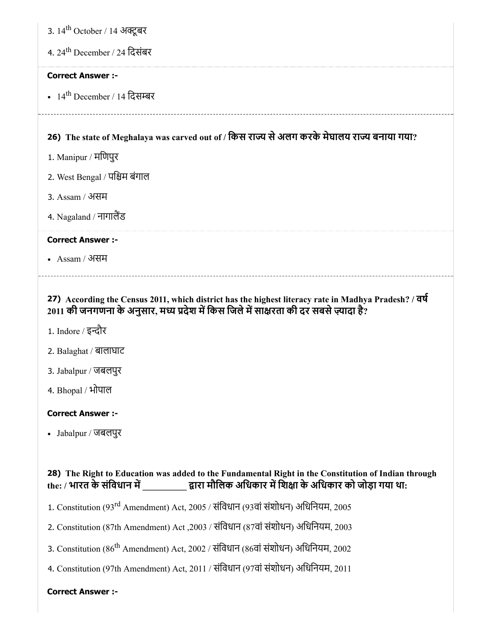3. 14<sup>th</sup> October / 14 अक्टूबर

4. 24<sup>th</sup> December / 24 दिसंबर

#### Correct Answer :-

14<sup>th</sup> December / 14 दिसम्बर

# 26) The state of Meghalaya was carved out of / किस राज्य से अलग करके मेघालय राज्य बनाया गया?

- 1. Manipur / मिणपुर
- 2. West Bengal / पिम बंगाल
- 3. Assam / असम
- 4. Nagaland / नागालैंड

## Correct Answer :-

Assam / असम

27) According the Census 2011, which district has the highest literacy rate in Madhya Pradesh? / वष  $2011$  की जनगणना के अनुसार, मध्य प्रदेश में किस जिले में साक्षरता की दर सबसे ज़्यादा है?

- 1. Indore / इन्दौर
- 2. Balaghat / बालाघाट
- 3. Jabalpur / जबलपुर
- 4. Bhopal / भोपाल

#### Correct Answer :-

Jabalpur / जबलपुर

## 28) The Right to Education was added to the Fundamental Right in the Constitution of Indian through the: / भारत के संविधान में \_\_\_\_\_\_\_\_\_\_\_ द्वारा मौलिक अधिकार में शिक्षा के अधिकार को जोड़ा गया था:

- 1. Constitution (93<sup>rd</sup> Amendment) Act, 2005 / संविधान (93वां संशोधन) अधिनियम, 2005
- 2. Constitution (87th Amendment) Act ,2003 / संिवधान (87वां संशोधन) अिधिनयम, 2003
- 3. Constitution (86<sup>th</sup> Amendment) Act, 2002 / संविधान (86वां संशोधन) अधिनियम, 2002
- 4. Constitution (97th Amendment) Act, 2011 / संिवधान (97वां संशोधन) अिधिनयम, 2011

#### Correct Answer :-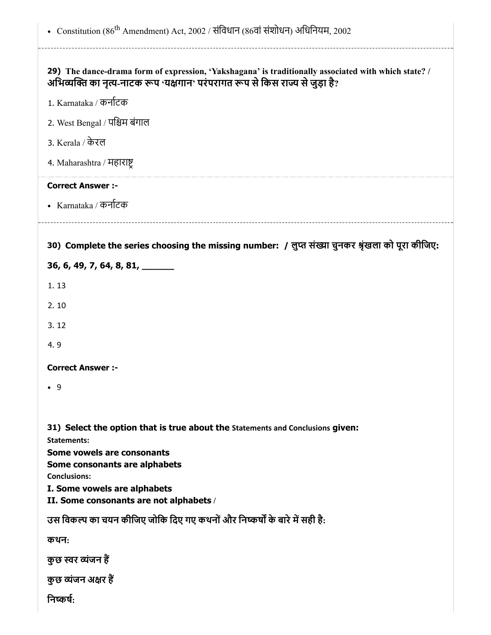| • Constitution (86 <sup>th</sup> Amendment) Act, 2002 / संविधान (86वां संशोधन) अधिनियम, 2002                                                                                          |
|---------------------------------------------------------------------------------------------------------------------------------------------------------------------------------------|
| 29) The dance-drama form of expression, 'Yakshagana' is traditionally associated with which state? /<br>अभिव्यक्ति का नृत्य-नाटक रूप 'यक्षगान' परंपरागत रूप से किस राज्य से जुड़ा है? |
| 1. Karnataka / कर्नाटक                                                                                                                                                                |
| 2. West Bengal / पश्चिम बंगाल                                                                                                                                                         |
| 3. Kerala / केरल                                                                                                                                                                      |
| 4. Maharashtra / महाराष्ट्र                                                                                                                                                           |
| <b>Correct Answer :-</b>                                                                                                                                                              |
| • Karnataka / कर्नाटक                                                                                                                                                                 |
|                                                                                                                                                                                       |
| 30) Complete the series choosing the missing number: / लुप्त संख्या चुनकर श्रृंखला को पूरा कीजिए:                                                                                     |
| 36, 6, 49, 7, 64, 8, 81, ______                                                                                                                                                       |
| 1.13                                                                                                                                                                                  |
| 2.10                                                                                                                                                                                  |
| 3.12                                                                                                                                                                                  |
| 4.9                                                                                                                                                                                   |
| <b>Correct Answer:-</b>                                                                                                                                                               |
| $\bullet$ 9                                                                                                                                                                           |
|                                                                                                                                                                                       |
| 31) Select the option that is true about the Statements and Conclusions given:                                                                                                        |
| <b>Statements:</b>                                                                                                                                                                    |
| Some vowels are consonants<br>Some consonants are alphabets                                                                                                                           |
| <b>Conclusions:</b>                                                                                                                                                                   |
| I. Some vowels are alphabets                                                                                                                                                          |
| II. Some consonants are not alphabets /                                                                                                                                               |
| उस विकल्प का चयन कीजिए जोकि दिए गए कथनों और निष्कर्षों के बारे में सही है:                                                                                                            |
| कथन:                                                                                                                                                                                  |
| कुछ स्वर व्यंजन हैं                                                                                                                                                                   |
| कुछ व्यंजन अक्षर हैं                                                                                                                                                                  |
| निष्कर्ष:                                                                                                                                                                             |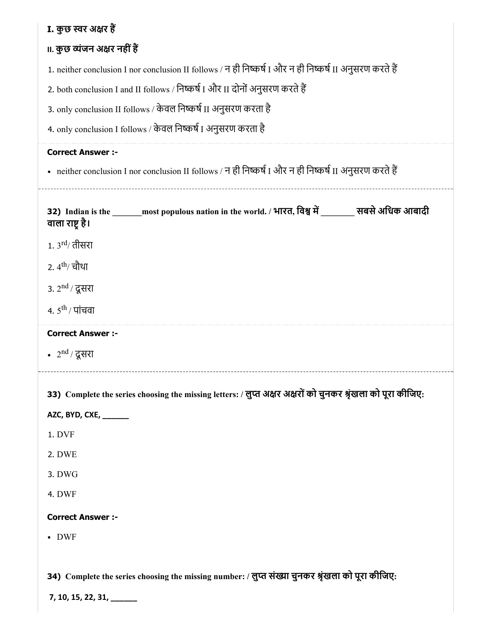# I. कुछ स्वर अक्षर हैं

# **II. कुछ व्यंजन अक्षर नहीं हैं**

1. neither conclusion I nor conclusion II follows / न ही निष्कर्ष I और न ही निष्कर्ष II अनुसरण करते हैं

2. both conclusion I and II follows / निष्कर्ष I और II दोनों अनुसरण करते हैं

3. only conclusion II follows / केवल निष्कर्ष II अनुसरण करता है

4. only conclusion I follows / केवल निष्कर्ष I अनुसरण करता है

## Correct Answer :-

• neither conclusion I nor conclusion II follows / न ही निष्कर्ष I और न ही निष्कर्ष II अनुसरण करते हैं

| वाला राष्ट्र है।            | 32) Indian is the ______ most populous nation in the world. / भारत, विश्व में _______ सबसे अधिक आबादी        |  |
|-----------------------------|--------------------------------------------------------------------------------------------------------------|--|
| 1. $3^{\text{rd}}$ तीसरा    |                                                                                                              |  |
| 2. 4 <sup>th</sup> / चौथा   |                                                                                                              |  |
| 3. 2 <sup>nd</sup> / दूसरा  |                                                                                                              |  |
| 4. $5^{\text{th}}$ / पांचवा |                                                                                                              |  |
| <b>Correct Answer :-</b>    |                                                                                                              |  |
| • $2nd / \overline{g}$ सरा  |                                                                                                              |  |
|                             |                                                                                                              |  |
|                             | 33) Complete the series choosing the missing letters: / लुप्त अक्षर अक्षरों को चुनकर श्रृंखला को पूरा कीजिए: |  |
| AZC, BYD, CXE, ______       |                                                                                                              |  |
| 1. DVF                      |                                                                                                              |  |
| 2. DWE                      |                                                                                                              |  |
| 3. DWG                      |                                                                                                              |  |
| 4. DWF                      |                                                                                                              |  |
| <b>Correct Answer :-</b>    |                                                                                                              |  |
| $\bullet$ DWF               |                                                                                                              |  |
|                             |                                                                                                              |  |
|                             | 34) Complete the series choosing the missing number: / लुप्त संख्या चुनकर श्रृंखला को पूरा कीजिए:            |  |
| $7, 10, 15, 22, 31, \_\_$   |                                                                                                              |  |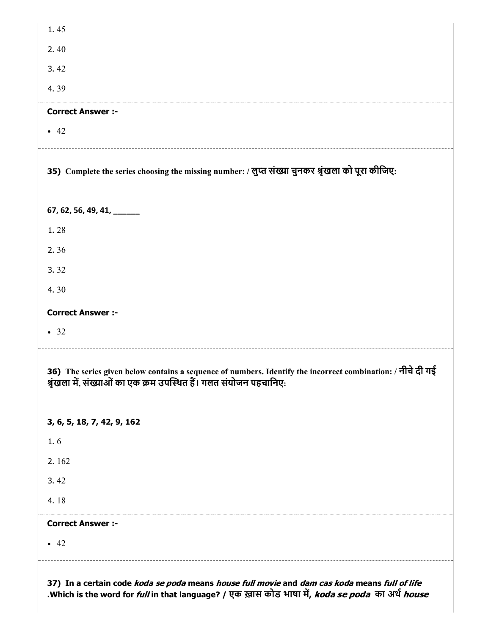| 1.45                                                                                                                                                                              |
|-----------------------------------------------------------------------------------------------------------------------------------------------------------------------------------|
| 2.40                                                                                                                                                                              |
| 3.42                                                                                                                                                                              |
| 4.39                                                                                                                                                                              |
| <b>Correct Answer :-</b>                                                                                                                                                          |
| $\bullet$ 42                                                                                                                                                                      |
| 35) Complete the series choosing the missing number: / लुप्त संख्या चुनकर श्रृंखला को पूरा कीजिए:                                                                                 |
| 67, 62, 56, 49, 41, ______                                                                                                                                                        |
| 1.28                                                                                                                                                                              |
| 2.36                                                                                                                                                                              |
| 3.32                                                                                                                                                                              |
| 4.30                                                                                                                                                                              |
| <b>Correct Answer :-</b>                                                                                                                                                          |
| • 32                                                                                                                                                                              |
| 36) The series given below contains a sequence of numbers. Identify the incorrect combination: / नीचे दी गई<br>श्रृंखला में, संख्याओं का एक क्रम उपस्थित हैं। गलत संयोजन पहचानिए: |
| 3, 6, 5, 18, 7, 42, 9, 162                                                                                                                                                        |
| $1.6$                                                                                                                                                                             |
| 2.162                                                                                                                                                                             |
| 3.42                                                                                                                                                                              |
| 4.18                                                                                                                                                                              |
| <b>Correct Answer :-</b>                                                                                                                                                          |
| $\bullet$ 42                                                                                                                                                                      |
|                                                                                                                                                                                   |

37) In a certain code *koda se poda* means *house full movie* and *dam cas koda* means *full of life* .Which is the word for *full* in that language? / एक ख़ास कोड भाषा में, *koda se poda का अर्थ house*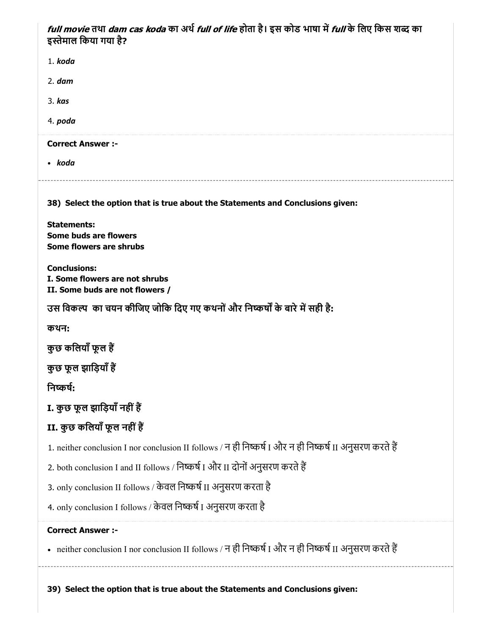*full movie* तथा *dam cas koda* का अर्थ *full of life* होता है। इस कोड भाषा में *full* के लिए किस शब्द का इस्तेमाल किया गया है?

| 1. koda                                                                                                 |
|---------------------------------------------------------------------------------------------------------|
| $2.$ dam                                                                                                |
| 3. kas                                                                                                  |
| 4. poda                                                                                                 |
| <b>Correct Answer :-</b>                                                                                |
| • koda                                                                                                  |
| 38) Select the option that is true about the Statements and Conclusions given:                          |
| <b>Statements:</b><br>Some buds are flowers<br>Some flowers are shrubs                                  |
| <b>Conclusions:</b><br>I. Some flowers are not shrubs<br>II. Some buds are not flowers /                |
| उस विकल्प) का चयन कीजिए जोकि दिए गए कथनों और निष्कर्षों के बारे में सही है:                             |
| कथन:                                                                                                    |
| कुछ कलियाँ फूल हैं                                                                                      |
| कुछ फूल झाड़ियाँ हैं                                                                                    |
| निष्कर्ष:                                                                                               |
| I. कुछ फूल झाड़ियाँ नहीं हैं                                                                            |
| II. कुछ कलियाँ फूल नहीं हैं                                                                             |
| 1. neither conclusion I nor conclusion II follows / न ही निष्कर्ष I और न ही निष्कर्ष II अनुसरण करते हैं |
| 2. both conclusion I and II follows / निष्कर्ष I और II दोनों अनुसरण करते हैं                            |
| 3. only conclusion II follows / केवल निष्कर्ष II अनुसरण करता है                                         |
| 4. only conclusion I follows / केवल निष्कर्ष I अनुसरण करता है                                           |
| <b>Correct Answer :-</b>                                                                                |
| • neither conclusion I nor conclusion II follows / न ही निष्कर्ष I और न ही निष्कर्ष II अनुसरण करते हैं  |
|                                                                                                         |

39) Select the option that is true about the Statements and Conclusions given: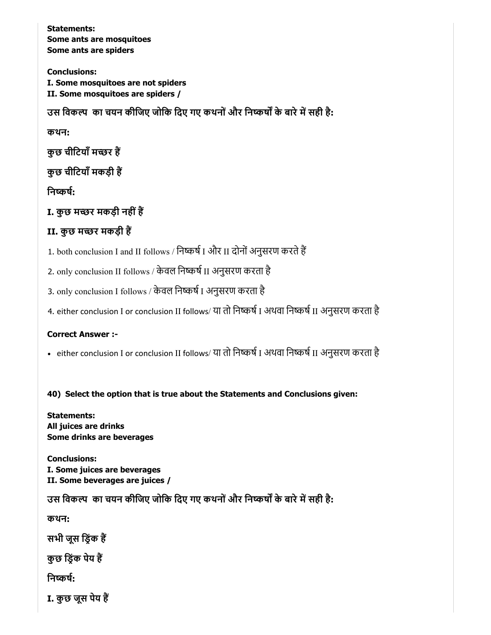Statements: Some ants are mosquitoes Some ants are spiders

Conclusions: I. Some mosquitoes are not spiders II. Some mosquitoes are spiders /

उस विकल्प का चयन कीजिए जोकि दिए गए कथनों और निष्कर्षों के बारे में सही है:

कथन:

कुछ चीटियाँ मच्छर हैं

कुछ चीटियाँ मकड़ी हैं

निष्कर्ष:

I. कुछ मच्छर मकड़ी नहीं हैं

# II. कुछ मच्छर मकड़ी हैं

1. both conclusion I and II follows / निष्कर्ष I और II दोनों अनुसरण करते हैं

2. only conclusion II follows / केवल निष्कर्ष II अनुसरण करता है

3. only conclusion I follows / केवल निष्कर्ष I अनुसरण करता है

4. either conclusion I or conclusion II follows/ या तो निष्कर्ष I अथवा निष्कर्ष II अनुसरण करता है

## Correct Answer :-

• either conclusion I or conclusion II follows/ या तो निष्कर्ष I अथवा निष्कर्ष II अनुसरण करता है

## 40) Select the option that is true about the Statements and Conclusions given:

Statements: All juices are drinks Some drinks are beverages

Conclusions: I. Some juices are beverages II. Some beverages are juices /

उस विकल्प का चयन कीजिए जोकि दिए गए कथनों और निष्कर्षों के बारे में सही है:

कथन:

सभी जूस ड्रिंक हैं

कुछ िडंक पेय ह

निष्कर्ष:

I. कुछ जूस पेय ह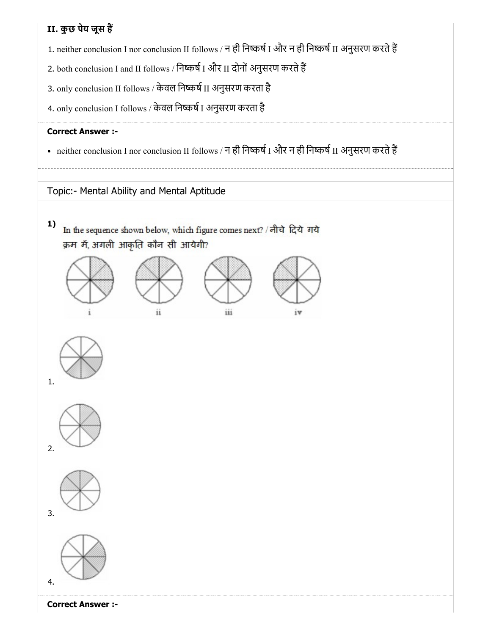# II. कुछ पेय जूस ह

- 1. neither conclusion I nor conclusion II follows / न ही निष्कर्ष I और न ही निष्कर्ष II अनुसरण करते हैं
- 2. both conclusion I and II follows / निष्कर्ष I और II दोनों अनुसरण करते हैं
- 3. only conclusion II follows / केवल निष्कर्ष II अनुसरण करता है
- 4. only conclusion I follows / केवल निष्कर्ष I अनुसरण करता है

## Correct Answer :-

• neither conclusion I nor conclusion II follows / न ही निष्कर्ष I और न ही निष्कर्ष II अनुसरण करते हैं

Topic:- Mental Ability and Mental Aptitude

1) In the sequence shown below, which figure comes next? / नीचे दिये गये क्रम में, अगली आकृति कौन सी आयेगी?











Correct Answer :-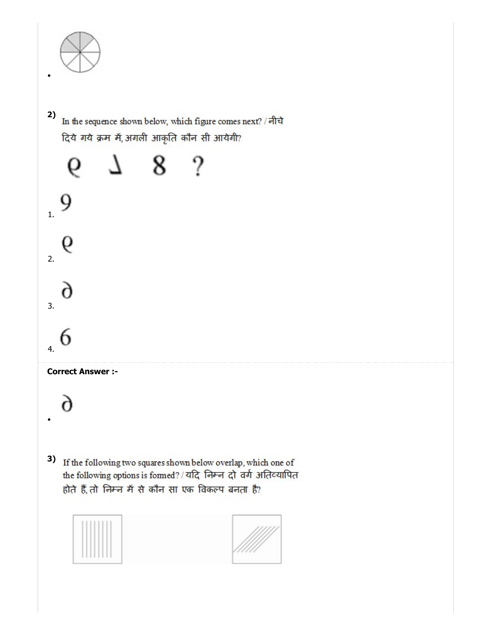

2) In the sequence shown below, which figure comes next? / नीचे दिये गये क्रम में, अगली आकृति कौन सी आयेगी?

8? J. 6 9 1. 9 2. r 3. n 4. Correct Answer :r 3) If the following two squares shown below overlap, which one of the following options is formed? / यदि निम्न दो वर्ग अतिव्यापित होते हैं, तो निम्न में से कौन सा एक विकल्प बनता है?

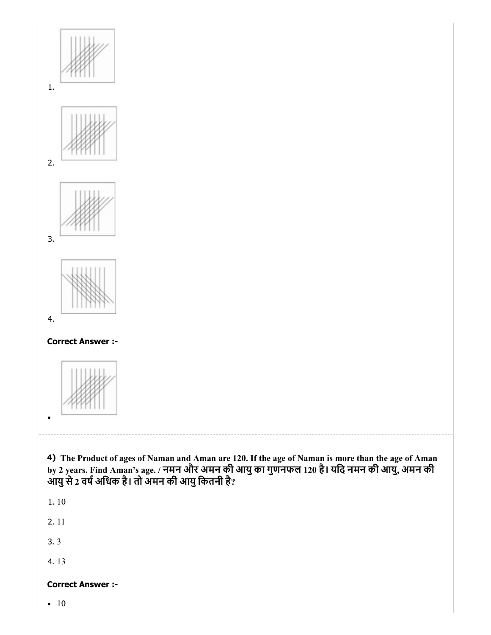

4. 13

## Correct Answer :-

• 10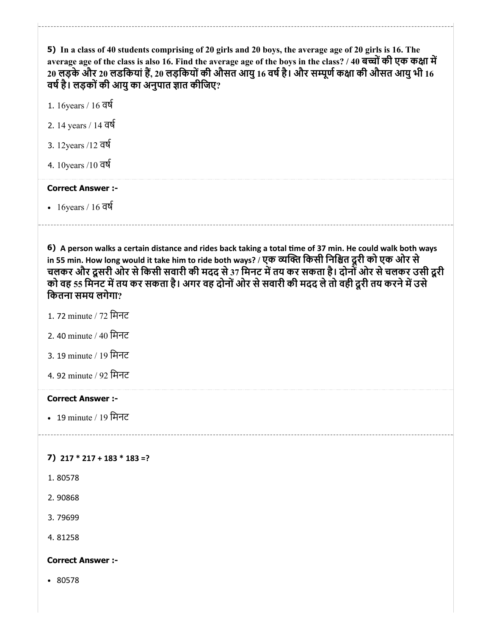5) In a class of 40 students comprising of 20 girls and 20 boys, the average age of 20 girls is 16. The average age of the class is also 16. Find the average age of the boys in the class? / 40 बच्चों की एक कक्षा में 20 लड़के और 20 लडकियां हैं, 20 लड़कियों की औसत आयु 16 वर्ष है। और सम्पूर्ण कक्षा की औसत आयु भी 16 वर्ष है। लड़कों की आयु का अनुपात ज्ञात कीजिए?

- 1. 16years / 16 वष
- 2. 14 years / 14 वष
- 3. 12years /12 वष
- 4. 10years /10 वष

### Correct Answer :-

• 16 years / 16 वर्ष

6) A person walks a certain distance and rides back taking a total time of 37 min. He could walk both ways in 55 min. How long would it take him to ride both ways? / एक व्यक्ति किसी निश्चित दूरी को एक ओर से चलकर और दूसरी ओर सेिकसी सवारी की मदद से37 िमनट मतय कर सकता है। दोनोंओर सेचलकर उसी दूरी को वह 55 मिनट में तय कर सकता है। अगर वह दोनों ओर से सवारी की मदद ले तो वही दूरी तय करने में उसे िकतना समय लगेगा?

- 1. 72 minute / 72 िमनट
- 2. 40 minute / 40 िमनट
- 3. 19 minute / 19 िमनट
- 4. 92 minute / 92 मिनट

#### Correct Answer :-

• 19 minute / 19 मिनट

#### 7) 217 \* 217 + 183 \* 183 =?

- 1. 80578
- 2. 90868
- 3. 79699

4. 81258

#### Correct Answer :-

• 80578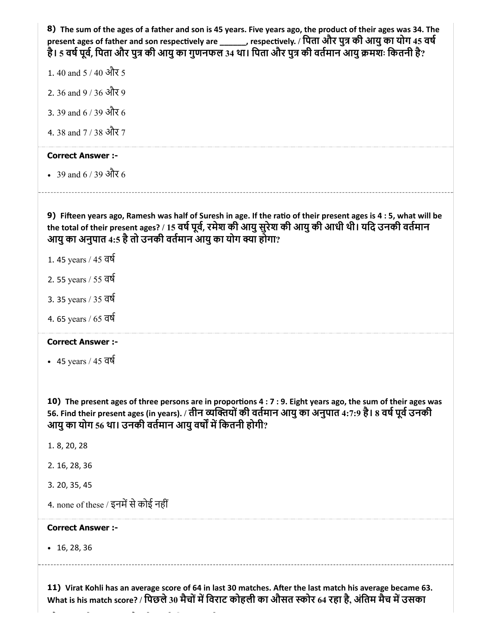| 8) The sum of the ages of a father and son is 45 years. Five years ago, the product of their ages was 34. The<br>present ages of father and son respectively are ______, respectively. / पिता और पुत्र की आयु का योग 45 वर्ष<br>है। 5 वर्ष पूर्व, पिता और पुत्र की आयु का गुणनफल 34 था। पिता और पुत्र की वर्तमान आयु क्रमशः कितनी है? |
|---------------------------------------------------------------------------------------------------------------------------------------------------------------------------------------------------------------------------------------------------------------------------------------------------------------------------------------|
| 1.40 and $5/40$ और 5                                                                                                                                                                                                                                                                                                                  |
| 2.36 and 9 / 36 और 9                                                                                                                                                                                                                                                                                                                  |
| 3. 39 and 6 / 39 और 6                                                                                                                                                                                                                                                                                                                 |
| 4.38 and 7 / 38 और 7                                                                                                                                                                                                                                                                                                                  |
| <b>Correct Answer :-</b>                                                                                                                                                                                                                                                                                                              |
| • 39 and 6 / 39 और 6                                                                                                                                                                                                                                                                                                                  |
| 9) Fifteen years ago, Ramesh was half of Suresh in age. If the ratio of their present ages is 4 : 5, what will be<br>the total of their present ages? / 15 वर्ष पूर्व, रमेश की आयु सुरेश की आयु की आधी थी। यदि उनकी वर्तमान<br>आयु का अनुपात 4:5 है तो उनकी वर्तमान आयु का योग क्या होगा?                                             |
| 1.45 years / 45 वर्ष                                                                                                                                                                                                                                                                                                                  |
| 2.55 years / 55 वर्ष                                                                                                                                                                                                                                                                                                                  |
| 3. 35 years / 35 वर्ष                                                                                                                                                                                                                                                                                                                 |
| 4. 65 years / 65 वर्ष                                                                                                                                                                                                                                                                                                                 |
| <b>Correct Answer :-</b>                                                                                                                                                                                                                                                                                                              |
| • 45 years / $45$ $\overline{q}$                                                                                                                                                                                                                                                                                                      |
| 10) The present ages of three persons are in proportions 4 : 7 : 9. Eight years ago, the sum of their ages was<br>56. Find their present ages (in years). / तीन व्यक्तियों की वर्तमान आयु का अनुपात 4:7:9 है। 8 वर्ष पूर्व उनकी<br>आयु का योग 56 था। उनकी वर्तमान आयु वर्षों में कितनी होगी?                                          |
| 1.8, 20, 28                                                                                                                                                                                                                                                                                                                           |
| 2. 16, 28, 36                                                                                                                                                                                                                                                                                                                         |
| 3. 20, 35, 45                                                                                                                                                                                                                                                                                                                         |
| 4. none of these / इनमें से कोई नहीं                                                                                                                                                                                                                                                                                                  |
| <b>Correct Answer :-</b>                                                                                                                                                                                                                                                                                                              |
| $\cdot$ 16, 28, 36                                                                                                                                                                                                                                                                                                                    |
| 11) Virat Kohli has an average score of 64 in last 30 matches. After the last match his average became 63.                                                                                                                                                                                                                            |

What is his match score? / पिछले 30 मैचों में विराट कोहली का ओसत स्कोर 64 रहा है, अंतिम मैच में उसका

 $\overline{a}$ 

 $\overline{a}$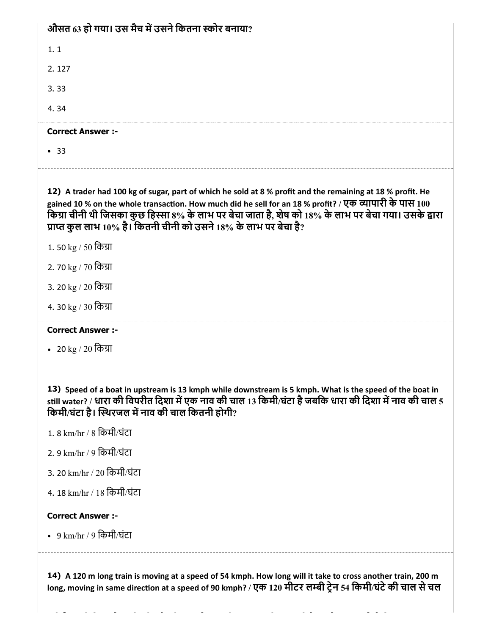# औसत 63 हो गया। उस मैच में उसने कितना स्कोर बनाया?

1. 1

2. 127

3. 33

4. 34

## Correct Answer :-

• 33

12) A trader had 100 kg of sugar, part of which he sold at 8 % profit and the remaining at 18 % profit. He gained 10 % on the whole transaction. How much did he sell for an 18 % profit? / एक व्यापारी के पास  $100$ किग्रा चीनी थी जिसका कुछ हिस्सा 8% के लाभ पर बेचा जाता है, शेष को 18% के लाभ पर बेचा गया। उसके द्वारा प्राप्त कुल लाभ 10% है। कितनी चीनी को उसने 18% के लाभ पर बेचा है?

- 1. 50 kg / 50 किग्रा
- 2. 70 kg / 70 िका
- 3. 20 kg / 20 किग्रा
- 4. 30 kg / 30 िका

## Correct Answer :-

• 20 kg / 20 किग्रा

13) Speed of a boat in upstream is 13 kmph while downstream is 5 kmph. What is the speed of the boat in still water? / धारा की विपरीत दिशा में एक नाव की चाल 13 किमी/घंटा है जबकि धारा की दिशा में नाव की चाल 5 किमी/घंटा है। स्थिरजल में नाव की चाल कितनी होगी?

- 1. 8 km/hr / 8 िकमी/घंटा
- 2. 9 km/hr / 9 िकमी/घंटा
- 3. 20 km/hr / 20 िकमी/घंटा
- 4. 18 km/hr / 18 िकमी/घंटा

#### Correct Answer :-

9 km/hr / 9 िकमी/घंटा

14) A 120 m long train is moving at a speed of 54 kmph. How long will it take to cross another train, 200 m long, moving in same direction at a speed of 90 kmph? / एक 120 मीटर लम्बी ट्रेन 54 किमी/घंटे की चाल से चल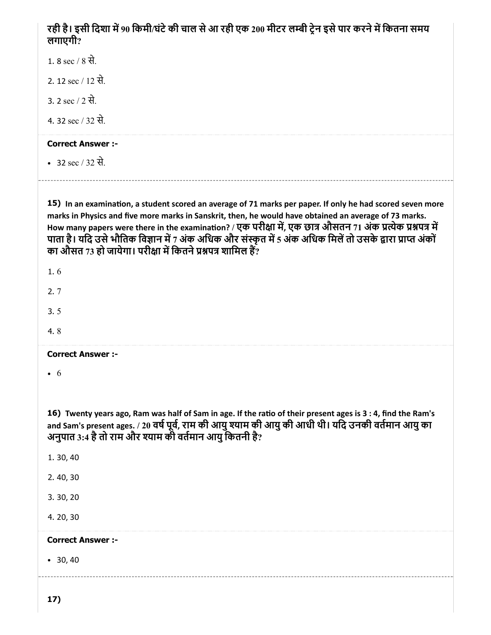# रही है। इसी दिशा में 90 किमी/घंटे की चाल से आ रही एक 200 मीटर लम्बी ट्रेन इसे पार करने में कितना समय लगाएगी?

1. 8 sec / 8 से.

2. 12 sec / 12 से.

3. 2 sec / 2 से.

4. 32 sec / 32 से.

## Correct Answer :-

• 32 sec / 32 से.

15) In an examination, a student scored an average of 71 marks per paper. If only he had scored seven more marks in Physics and five more marks in Sanskrit, then, he would have obtained an average of 73 marks. How many papers were there in the examination? / एक परीक्षा में, एक छात्र औसतन 71 अंक प्रत्येक प्रश्नपत्र में पाता है। यदि उसे भौतिक विज्ञान में 7 अंक अधिक और संस्कृत में 5 अंक अधिक मिलें तो उसके द्वारा प्राप्त अंकों का औसत 73 हो जायेगा। परीक्षा में कितने प्रश्नपत्र शामिल हैं?

| 1. | n |  |
|----|---|--|
| ŕ. |   |  |

- 3. 5
- 4. 8

## Correct Answer :-

6

16) Twenty years ago, Ram was half of Sam in age. If the ratio of their present ages is 3:4, find the Ram's and Sam's present ages. / 20 वर्ष पूर्व, राम की आयु श्याम की आयु की आधी थी। यदि उनकी वर्तमान आयु का अनुपात 3:4 है तो राम और श्याम की वर्तमान आयु कितनी है?

1. 30, 40

2. 40, 30

3. 30, 20

4. 20, 30

## Correct Answer :-

30, 40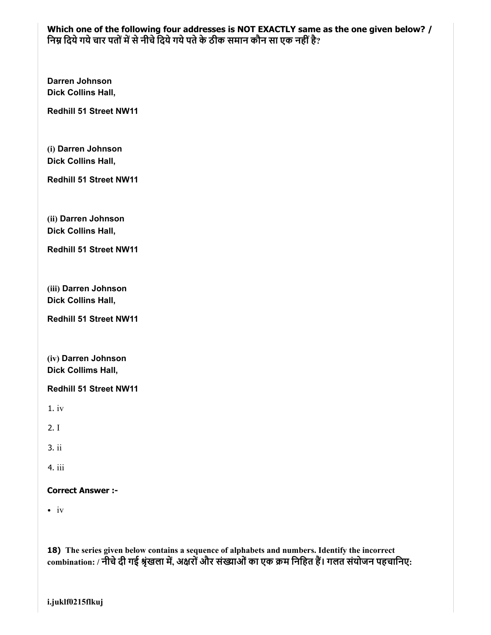Which one of the following four addresses is NOT EXACTLY same as the one given below? / निम्न दिये गये चार पतों में से नीचे दिये गये पते के ठीक समान कौन सा एक नहीं है?

Darren Johnson Dick Collins Hall,

Redhill 51 Street NW11

(i) Darren Johnson Dick Collins Hall,

Redhill 51 Street NW11

(ii) Darren Johnson Dick Collins Hall,

Redhill 51 Street NW11

(iii) Darren Johnson Dick Collins Hall,

Redhill 51 Street NW11

(iv) Darren Johnson Dick Collims Hall,

Redhill 51 Street NW11

1. iv

2. I

3. ii

4. iii

Correct Answer :-

 $\cdot$  iv

18) The series given below contains a sequence of alphabets and numbers. Identify the incorrect combination: / नीचे दी गई श्रृंखला में, अक्षरों और संख्याओं का एक क्रम निहित हैं। गलत संयोजन पहचानिए: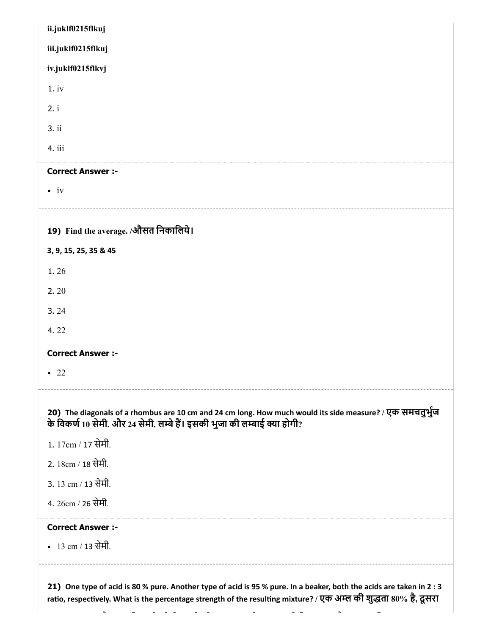| ii.juklf0215flkuj                    |                                                                                                                                                                                       |
|--------------------------------------|---------------------------------------------------------------------------------------------------------------------------------------------------------------------------------------|
| iii.juklf0215flkuj                   |                                                                                                                                                                                       |
| iv.juklf0215flkvj                    |                                                                                                                                                                                       |
| 1.iv                                 |                                                                                                                                                                                       |
| 2. i                                 |                                                                                                                                                                                       |
| 3. ii                                |                                                                                                                                                                                       |
| 4. iii                               |                                                                                                                                                                                       |
| <b>Correct Answer :-</b>             |                                                                                                                                                                                       |
| $\bullet$ iv                         |                                                                                                                                                                                       |
|                                      |                                                                                                                                                                                       |
| 19) Find the average. /औसत निकालिये। |                                                                                                                                                                                       |
| 3, 9, 15, 25, 35 & 45                |                                                                                                                                                                                       |
| 1.26                                 |                                                                                                                                                                                       |
| 2.20                                 |                                                                                                                                                                                       |
| 3.24                                 |                                                                                                                                                                                       |
| 4.22                                 |                                                                                                                                                                                       |
| <b>Correct Answer :-</b>             |                                                                                                                                                                                       |
| $\bullet$ 22                         |                                                                                                                                                                                       |
|                                      | 20) The diagonals of a rhombus are 10 cm and 24 cm long. How much would its side measure? / एक समचतुर्भुज<br>के विकर्ण 10 सेमी. और 24 सेमी. लम्बे हैं। इसकी भुजा की लम्बाई क्या होगी? |
| 1. 17cm / 17 सेमी.                   |                                                                                                                                                                                       |
| 2. 18cm / 18 सेमी.                   |                                                                                                                                                                                       |
| 3. 13 cm / 13 सेमी.                  |                                                                                                                                                                                       |
| 4. 26cm / 26 सेमी.                   |                                                                                                                                                                                       |
| <b>Correct Answer :-</b>             |                                                                                                                                                                                       |
|                                      |                                                                                                                                                                                       |

ratio, respectively. What is the percentage strength of the resulting mixture? / एक अम्ल की शुद्धता 80% है, दूसरा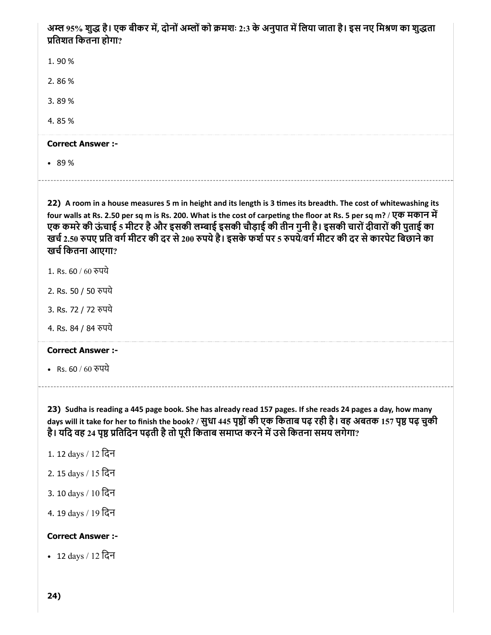# अम्ल 95% शुद्ध है। एक बीकर में, दोनों अम्लों को क्रमशः 2:3 के अनुपात में लिया जाता है। इस नए मिश्रण का शुद्धता ितशत िकतना होगा?

1. 90 %

2. 86 %

3. 89 %

4. 85 %

#### Correct Answer :-

89 %

22) A room in a house measures 5 m in height and its length is 3 times its breadth. The cost of whitewashing its four walls at Rs. 2.50 per sq m is Rs. 200. What is the cost of carpeting the floor at Rs. 5 per sq m? / एक मकान में एक कमरे की ऊंचाई 5 मीटर है और इसकी लम्बाई इसकी चौड़ाई की तीन गुनी है। इसकी चारों दीवारों की पुताई का खर्च 2.50 रुपए प्रति वर्ग मीटर की दर से 200 रुपये है। इसके फर्श पर 5 रुपये/वर्ग मीटर की दर से कारपेट बिछाने का खचिकतना आएगा?

- 1. Rs. 60 / 60 रुपये
- 2. Rs. 50 / 50 पये
- 3. Rs. 72 / 72 रुपये
- 4. Rs. 84 / 84 रुपये

#### Correct Answer :-

• Rs. 60 / 60 रुपये

23) Sudha is reading a 445 page book. She has already read 157 pages. If she reads 24 pages a day, how many days will it take for her to finish the book? / सुधा 445 पृष्ठों की एक किताब पढ़ रही है। वह अबतक 157 पृष्ठ पढ़ चुकी है। यदि वह 24 पृष्ठ प्रतिदिन पढ़ती है तो पूरी किताब समाप्त करने में उसे कितना समय लगेगा?

- 1. 12 days / 12 िदन
- 2. 15 days / 15 िदन
- 3. 10 days / 10 िदन
- 4. 19 days / 19 िदन

#### Correct Answer :-

12 days / 12 िदन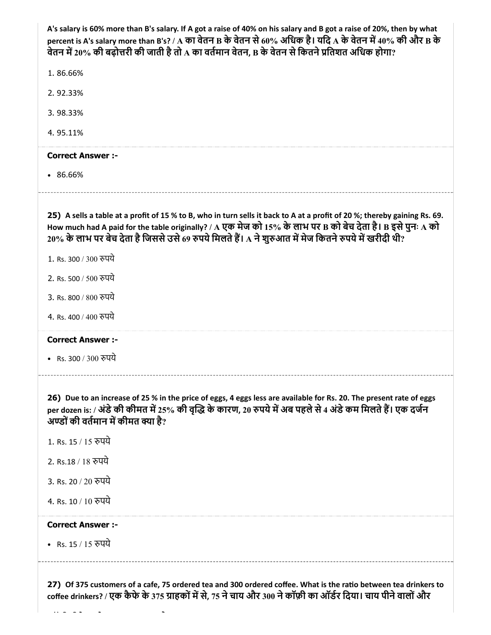| A's salary is 60% more than B's salary. If A got a raise of 40% on his salary and B got a raise of 20%, then by what<br>percent is A's salary more than B's? / A का वेतन B के वेतन से 60% अधिक है। यदि A के वेतन में 40% की और B के<br>वेतन में 20% की बढ़ोत्तरी की जाती है तो A का वर्तमान वेतन, B के वेतन से कितने प्रतिशत अधिक होगा?           |
|---------------------------------------------------------------------------------------------------------------------------------------------------------------------------------------------------------------------------------------------------------------------------------------------------------------------------------------------------|
| 1.86.66%                                                                                                                                                                                                                                                                                                                                          |
| 2.92.33%                                                                                                                                                                                                                                                                                                                                          |
| 3.98.33%                                                                                                                                                                                                                                                                                                                                          |
| 4.95.11%                                                                                                                                                                                                                                                                                                                                          |
| <b>Correct Answer :-</b>                                                                                                                                                                                                                                                                                                                          |
| •86.66%                                                                                                                                                                                                                                                                                                                                           |
| 25) A sells a table at a profit of 15 % to B, who in turn sells it back to A at a profit of 20 %; thereby gaining Rs. 69.<br>How much had A paid for the table originally? / A एक मेज को 15% के लाभ पर B को बेच देता है। B इसे पुनः A को<br>20% के लाभ पर बेच देता है जिससे उसे 69 रुपये मिलते हैं। A ने शुरुआत में मेज कितने रुपये में खरीदी थी? |
| 1. Rs. 300 / 300 रुपये                                                                                                                                                                                                                                                                                                                            |
| 2. Rs. 500 / 500 रुपये                                                                                                                                                                                                                                                                                                                            |
| 3. Rs. 800 / 800 रुपये                                                                                                                                                                                                                                                                                                                            |
| 4. Rs. 400 / 400 रुपये                                                                                                                                                                                                                                                                                                                            |
| <b>Correct Answer :-</b>                                                                                                                                                                                                                                                                                                                          |
| • Rs. 300 / 300 रुपये                                                                                                                                                                                                                                                                                                                             |
| 26) Due to an increase of 25 % in the price of eggs, 4 eggs less are available for Rs. 20. The present rate of eggs<br>per dozen is: / अंडे की कीमत में 25% की वृद्धि के कारण, 20 रुपये में अब पहले से 4 अंडे कम मिलते हैं। एक दर्जन<br>अण्डों की वर्तमान में कीमत क्या है?                                                                       |
| 1. Rs. 15 / 15 रुपये                                                                                                                                                                                                                                                                                                                              |
| 2. Rs.18 / 18 रुपये                                                                                                                                                                                                                                                                                                                               |
| 3. Rs. 20 / 20 रुपये                                                                                                                                                                                                                                                                                                                              |
| 4. Rs. 10 / 10 रुपये                                                                                                                                                                                                                                                                                                                              |
| <b>Correct Answer:-</b>                                                                                                                                                                                                                                                                                                                           |
| • Rs. 15 / 15 रुपये                                                                                                                                                                                                                                                                                                                               |
| 27) Of 375 customers of a cafe, 75 ordered tea and 300 ordered coffee. What is the ratio between tea drinkers to                                                                                                                                                                                                                                  |

coffee drinkers? / एक कैफे के 375 ग्राहकों में से, 75 ने चाय और 300 ने कॉफ़ी का ऑर्डर दिया। चाय पीने वालों और

 $\sim$   $\sim$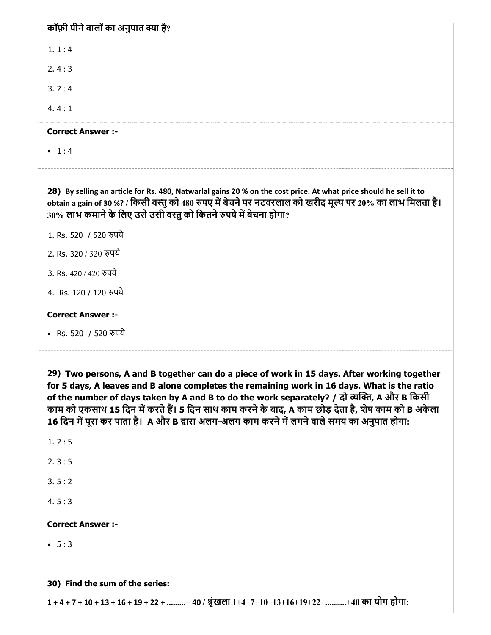| कॉफ़ी पीने वालों का अनुपात क्या है?                                                                                                                                                                                                                                                                  |
|------------------------------------------------------------------------------------------------------------------------------------------------------------------------------------------------------------------------------------------------------------------------------------------------------|
| 1.1:4                                                                                                                                                                                                                                                                                                |
| 2.4:3                                                                                                                                                                                                                                                                                                |
| 3.2:4                                                                                                                                                                                                                                                                                                |
| 4.4:1                                                                                                                                                                                                                                                                                                |
| <b>Correct Answer :-</b>                                                                                                                                                                                                                                                                             |
| $-1:4$                                                                                                                                                                                                                                                                                               |
| 28) By selling an article for Rs. 480, Natwarlal gains 20 % on the cost price. At what price should he sell it to<br>obtain a gain of 30 %? / किसी वस्तु को 480 रुपए में बेचने पर नटवरलाल को खरीद मूल्य पर 20% का लाभ मिलता है।<br>30% लाभ कमाने के लिए उसे उसी वस्तु को कितने रुपये में बेचना होगा? |
| 1. Rs. 520 / 520 रुपये                                                                                                                                                                                                                                                                               |
| 2. Rs. 320 / 320 रुपये                                                                                                                                                                                                                                                                               |
| 3. Rs. 420 / 420 रुपये                                                                                                                                                                                                                                                                               |
| 4. Rs. 120 / 120 रुपये                                                                                                                                                                                                                                                                               |
| <b>Correct Answer :-</b>                                                                                                                                                                                                                                                                             |
| • Rs. 520 / 520 रुपये                                                                                                                                                                                                                                                                                |

29) Two persons, A and B together can do a piece of work in 15 days. After working together for 5 days, A leaves and B alone completes the remaining work in 16 days. What is the ratio of the number of days taken by A and B to do the work separately? / दो व्यक्ति, A और B किसी काम को एकसाथ 15 दिन में करते हैं। 5 दिन साथ काम करने के बाद, A काम छोड़ देता है, शेष काम को B अकेला 16 दिन में पूरा कर पाता है। A और B द्वारा अलग-अलग काम करने में लगने वाले समय का अनुपात होगा:

1. 2 : 5

2. 3 : 5

 $3.5:2$ 

4. 5 : 3

Correct Answer :-

 $-5:3$ 

30) Find the sum of the series:

 $1 + 4 + 7 + 10 + 13 + 16 + 19 + 22 + \dots + 40$  / श्रृंखला  $1 + 4 + 7 + 10 + 13 + 16 + 19 + 22 + \dots + 40$  का योग होगा: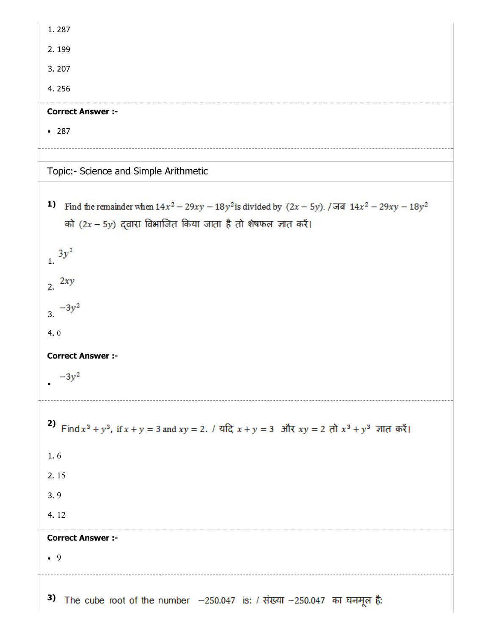| 1.287                                                                                                                                                                                                                                                                               |
|-------------------------------------------------------------------------------------------------------------------------------------------------------------------------------------------------------------------------------------------------------------------------------------|
| 2.199                                                                                                                                                                                                                                                                               |
| 3.207                                                                                                                                                                                                                                                                               |
| 4.256                                                                                                                                                                                                                                                                               |
| <b>Correct Answer :-</b>                                                                                                                                                                                                                                                            |
| • 287                                                                                                                                                                                                                                                                               |
|                                                                                                                                                                                                                                                                                     |
| Topic:- Science and Simple Arithmetic                                                                                                                                                                                                                                               |
| 1)<br>Find the remainder when $14x^2 - 29xy - 18y^2$ is divided by $(2x - 5y)$ . / जब $14x^2 - 29xy - 18y^2$<br>को (2x - 5y) द्वारा विभाजित किया जाता है तो शेषफल ज्ञात करें।<br>$3y^2$<br>$\overline{1}$ .<br>2.2xy<br>$-3y^2$<br>3.<br>4.0<br><b>Correct Answer :-</b><br>$-3y^2$ |
|                                                                                                                                                                                                                                                                                     |
| 2)<br>Find $x^3 + y^3$ , if $x + y = 3$ and $xy = 2$ . / यदि $x + y = 3$ और $xy = 2$ तो $x^3 + y^3$ ज्ञात करें।                                                                                                                                                                     |
| 1.6                                                                                                                                                                                                                                                                                 |
| 2.15                                                                                                                                                                                                                                                                                |
| 3.9                                                                                                                                                                                                                                                                                 |
| 4.12                                                                                                                                                                                                                                                                                |
| <b>Correct Answer :-</b>                                                                                                                                                                                                                                                            |
| $\bullet$ 9                                                                                                                                                                                                                                                                         |
| 3)<br>The cube root of the number -250.047 is: / संख्या -250.047 का घनमूल है:                                                                                                                                                                                                       |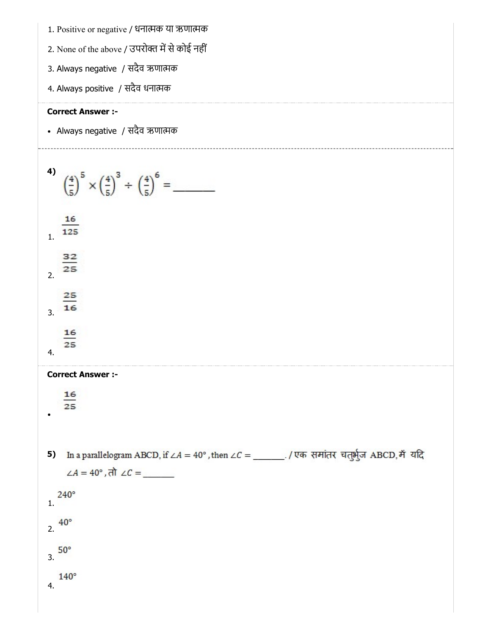- 1. Positive or negative / धनात्मक या ऋणात्मक
- 2. None of the above / उपरोक्त में से कोई नहीं
- 3. Always negative / सदैव ऋणाक
- 4. Always positive / सदैव धनाक

Always negative / सदैव ऋणाक



3.

 $140^\circ$ 

4.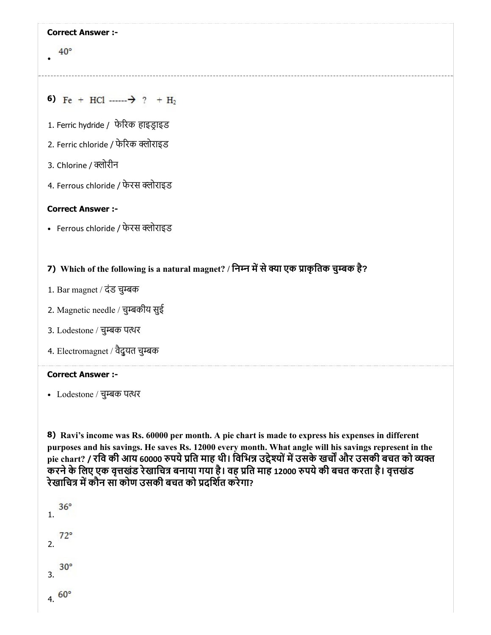#### $40^{\circ}$

- 6) Fe + HCl  $\longrightarrow$  ? + H<sub>2</sub>
- 1. Ferric hydride / फेरक हाइडाइड
- 2. Ferric chloride / फेरिक क्लोराइड
- 3. Chlorine / क्लोरीन
- 4. Ferrous chloride / फेरस क्लोराइड

#### Correct Answer :-

• Ferrous chloride / फेरस क्लोराइड

## 7) Which of the following is a natural magnet? / िनन मसेया एक ाकृितक चुबक है?

- 1. Bar magnet / दंड चुबक
- 2. Magnetic needle / चुबकीय सुई
- 3. Lodestone / चुबक पथर
- 4. Electromagnet / वैद्ुयत चुबक

#### Correct Answer :-

Lodestone / चुबक पथर

8) Ravi's income was Rs. 60000 per month. A pie chart is made to express his expenses in different purposes and his savings. He saves Rs. 12000 every month. What angle will his savings represent in the pie chart? / रवि की आय 60000 रुपये प्रति माह थी। विभिन्न उद्देश्यों में उसके खर्चों और उसकी बचत को व्यक्त करने के लिए एक वृत्तखंड रेखाचित्र बनाया गया है। वह प्रति माह 12000 रुपये की बचत करता है। वृत्तखंड रेखाचित्र में कौन सा कोण उसकी बचत को प्रदर्शित करेगा?

```
36^\circ1.
     72°2.
     30^\circ3.
4.60^{\circ}
```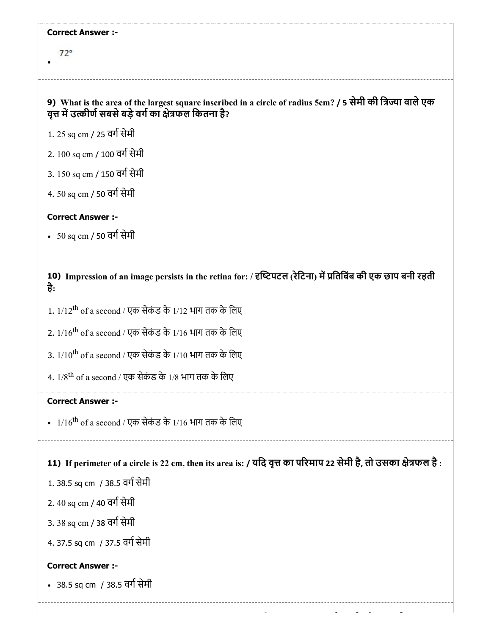$72°$ 

## 9) What is the area of the largest square inscribed in a circle of radius 5cm? / 5 सेमी की त्रिज्या वाले एक वृत्त में उत्कीर्ण सबसे बड़े वर्ग का क्षेत्रफल कितना है?

- 1. 25 sq cm / 25 वर्ग सेमी
- 2. 100 sq cm / 100 वर्ग सेमी
- 3. 150 sq cm / 150 वर्ग सेमी
- 4. 50 sq cm / 50 वर्ग सेमी

#### Correct Answer :-

•  $50$  sq cm / 50 वर्ग सेमी

## 10) Impression of an image persists in the retina for: / दृष्टिपटल (रेटिना) में प्रतिबिंब की एक छाप बनी रहती है:

- 1. 1/12<sup>th</sup> of a second / एक सेकंड के 1/12 भाग तक के लिए
- 2. 1/16<sup>th</sup> of a second / एक सेकंड के 1/16 भाग तक के लिए
- 3. 1/10<sup>th</sup> of a second / एक सेकंड के 1/10 भाग तक के लिए
- 4. 1/8<sup>th</sup> of a second / एक सेकंड के 1/8 भाग तक के लिए

#### Correct Answer :-

 $1/16^{\rm th}$  of a second / एक सेकंड के  $1/16$  भाग तक के लिए

## 11) If perimeter of a circle is 22 cm, then its area is: / यदि वृत्त का परिमाप 22 सेमी है, तो उसका क्षेत्रफल है :

- 1. 38.5 sq cm / 38.5 वर्ग सेमी
- 2. 40 sq cm / 40 वर्ग सेमी
- 3. 38 sq cm / 38 वर्ग सेमी
- 4. 37.5 sq cm / 37.5 वर्ग सेमी

#### Correct Answer :-

• 38.5 sq cm / 38.5 वर्ग सेमी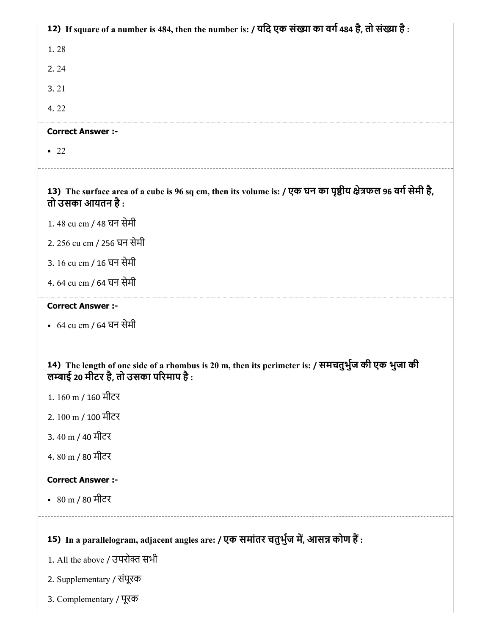| 12) If square of a number is 484, then the number is: / यदि एक संख्या का वर्ग 484 है, तो संख्या है:                                         |
|---------------------------------------------------------------------------------------------------------------------------------------------|
| 1.28                                                                                                                                        |
| 2.24                                                                                                                                        |
| 3.21                                                                                                                                        |
| 4.22                                                                                                                                        |
| <b>Correct Answer :-</b>                                                                                                                    |
| $\bullet$ 22                                                                                                                                |
| 13) The surface area of a cube is 96 sq cm, then its volume is: / एक घन का पृष्ठीय क्षेत्रफल 96 वर्ग सेमी है,<br>तो उसका आयतन है :          |
| 1.48 cu cm / 48 घन सेमी                                                                                                                     |
| 2. 256 cu cm / 256 घन सेमी                                                                                                                  |
| 3. 16 cu cm / 16 घन सेमी                                                                                                                    |
| 4. 64 cu cm / 64 घन सेमी                                                                                                                    |
| <b>Correct Answer :-</b>                                                                                                                    |
| • 64 cu cm / 64 घन सेमी                                                                                                                     |
| 14) The length of one side of a rhombus is 20 m, then its perimeter is: / समचतुर्भुज की एक भुजा की<br>लम्बाई 20 मीटर है, तो उसका परिमाप है: |
| 1.160 m / 160 मीटर                                                                                                                          |
| 2. 100 m / 100 मीटर                                                                                                                         |
| 3. 40 m / 40 मीटर                                                                                                                           |
| 4. 80 m / 80 मीटर                                                                                                                           |
| <b>Correct Answer :-</b>                                                                                                                    |
| • 80 m / 80 मीटर                                                                                                                            |
|                                                                                                                                             |
| 15) In a parallelogram, adjacent angles are: / एक समांतर चतुर्भुज में, आसन्न कोण हैं:                                                       |
| 1. All the above / उपरोक्त सभी                                                                                                              |
| 2. Supplementary / संपूरक                                                                                                                   |
| 3. Complementary / पूरक                                                                                                                     |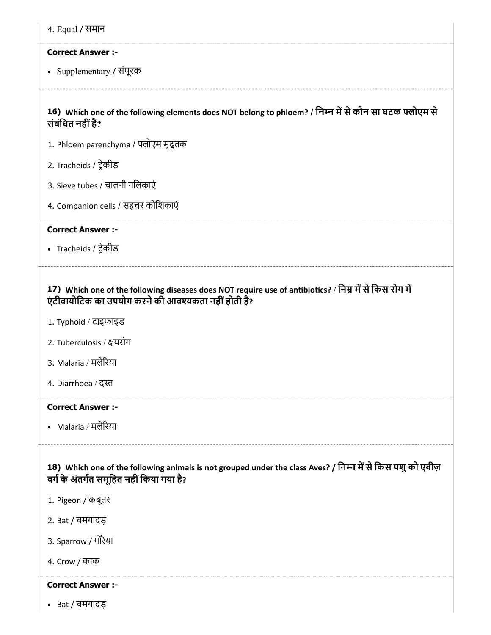| 4. Equal / समान |  |
|-----------------|--|
|-----------------|--|

Supplementary / संपूरक

16) Which one of the following elements does NOT belong to phloem? / निम्न में से कौन सा घटक फ्लोएम से संबंधित नहीं है?

- 1. Phloem parenchyma / फ्लोएम मृदूतक
- 2. Tracheids / टेकीड
- 3. Sieve tubes / चालनी निलकाएं
- 4. Companion cells / सहचर कोिशकाएं

Correct Answer :-

Tracheids / टेकीड

## 17) Which one of the following diseases does NOT require use of antibiotics? / निम्न में से किस रोग में एंटीबायोिटक का उपयोग करनेकी आवकता नहींहोती है?

- 1. Typhoid / टाइफाइड
- 2. Tuberculosis / यरोग
- 3. Malaria / मलेरया
- 4. Diarrhoea / द

#### Correct Answer :-

• Malaria / मलेरिया

18) Which one of the following animals is not grouped under the class Aves? / निम्न में से किस पशु को एवीज़ वर्ग के अंतर्गत समूहित नहीं किया गया है?

- 1. Pigeon / कबूतर
- 2. Bat / चमगादड़
- 3. Sparrow / गोरैया
- 4. Crow / काक

#### Correct Answer :-

Bat / चमगादड़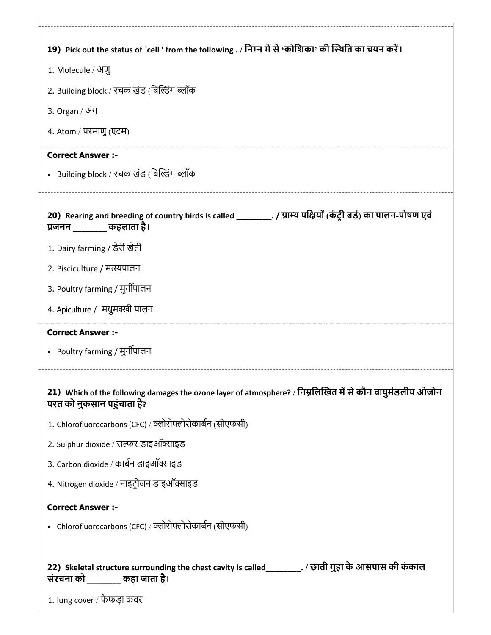| 19) Pick out the status of `cell ' from the following . / निम्न में से 'कोशिका' की स्थिति का चयन करें।                                                               |
|----------------------------------------------------------------------------------------------------------------------------------------------------------------------|
| 1. Molecule / अणु                                                                                                                                                    |
| 2. Building block / रचक खंड (बिल्डिंग ब्लॉक                                                                                                                          |
| 3. Organ / अंग                                                                                                                                                       |
| 4. Atom / परमाणु (एटम)                                                                                                                                               |
| <b>Correct Answer :-</b>                                                                                                                                             |
| • Building block / रचक खंड (बिल्डिंग ब्लॉक                                                                                                                           |
|                                                                                                                                                                      |
| 20) Rearing and breeding of country birds is called __________. / ग्राम्य पक्षियों (कंट्री बर्ड) का पालन-पोषण एवं<br>प्रजनन कहलाता है।                               |
| 1. Dairy farming / डेरी खेती                                                                                                                                         |
| 2. Pisciculture / मत्स्यपालन                                                                                                                                         |
| 3. Poultry farming / मुर्गीपालन                                                                                                                                      |
| 4. Apiculture / मधुमक्खी पालन                                                                                                                                        |
| <b>Correct Answer:-</b>                                                                                                                                              |
| • Poultry farming / मुर्गीपालन                                                                                                                                       |
| 21) Which of the following damages the ozone layer of atmosphere? / निम्नलिखित में से कौन वायुमंडलीय ओजोन<br>परत को नुकसान पहुंचाता है?                              |
| 1. Chlorofluorocarbons (CFC) / क्लोरोफ्लोरोकार्बन (सीएफसी)                                                                                                           |
| 2. Sulphur dioxide / सल्फर डाइऑक्साइड                                                                                                                                |
| 3. Carbon dioxide / कार्बन डाइऑक्साइड                                                                                                                                |
| 4. Nitrogen dioxide / नाइट्रोजन डाइऑक्साइड                                                                                                                           |
| <b>Correct Answer :-</b>                                                                                                                                             |
| • Chlorofluorocarbons (CFC) / क्लोरोफ्लोरोकार्बन (सीएफसी)                                                                                                            |
| 22) Skeletal structure surrounding the chest cavity is called_________. / छाती गुहा के आसपास की कंकाल<br>संरचना को ______ कहा जाता है।<br>1. lung cover / फेफड़ा कवर |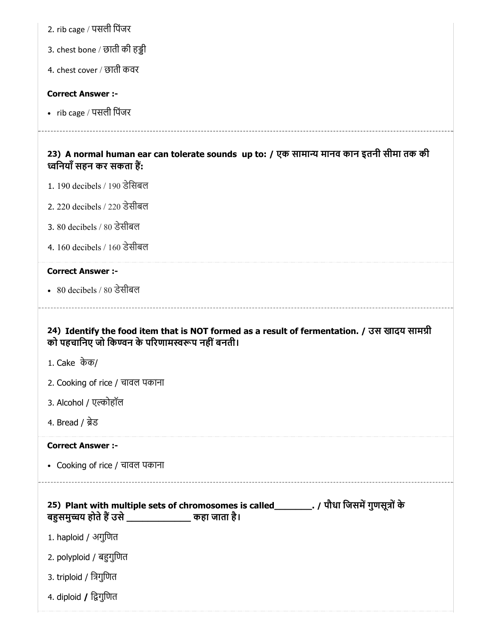2. rib cage / पसली िपंजर

3. chest bone / छाती की हड्डी

4. chest cover / छाती कवर

#### Correct Answer :-

• rib cage / पसली पिंजर

23) A normal human ear can tolerate sounds up to: / एक सामान्य मानव कान इतनी सीमा तक की विनयॉं सहन कर सकता ह:

- 1. 190 decibels / 190 डेिसबल
- 2. 220 decibels / 220 डेसीबल
- 3. 80 decibels / 80 डेसीबल
- 4. 160 decibels / 160 डेसीबल

## Correct Answer :-

80 decibels / 80 डेसीबल

## 24) Identify the food item that is NOT formed as a result of fermentation. / उस खादय सामी को पहचानिए जो किण्वन के परिणामस्वरूप नहीं बनती।

- 1. Cake केक/
- 2. Cooking of rice / चावल पकाना
- 3. Alcohol / एल्कोहॉल
- 4. Bread / ब्रेड

#### Correct Answer :-

Cooking of rice / चावल पकाना

|                         | 25) Plant with multiple sets of chromosomes is called | -. / पौधा जिसमें गुणसूत्रों के |
|-------------------------|-------------------------------------------------------|--------------------------------|
| बहुसमुच्चय होते हैं उसे | कहा जाता है।                                          |                                |

- 1. haploid / अगुिणत
- 2. polyploid / बगुिणत
- 3. triploid / िगुिणत
- 4. diploid / द्विगुणित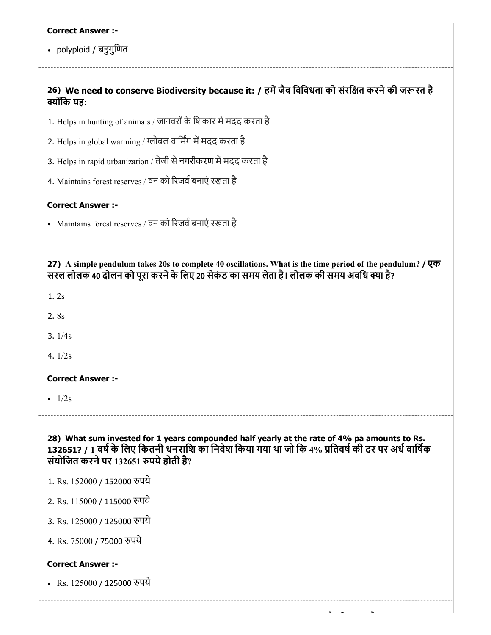• polyploid / बहुगुणित

## 26) We need to conserve Biodiversity because it: / हमें जैव विविधता को संरक्षित करने की जरूरत है क्योंकि यह:

- 1. Helps in hunting of animals / जानवरों के शिकार में मदद करता है
- 2. Helps in global warming / ग्लोबल वार्मिंग में मदद करता है
- 3. Helps in rapid urbanization / तेजी से नगरीकरण में मदद करता है
- 4. Maintains forest reserves / वन को रिजर्व बनाएं रखता है

#### Correct Answer :-

• Maintains forest reserves / वन को रिजर्व बनाएं रखता है

27) A simple pendulum takes 20s to complete 40 oscillations. What is the time period of the pendulum? / एक सरल लोलक 40 दोलन को पूरा करने के लिए 20 सेकंड का समय लेता है। लोलक की समय अवधि क्या है?

1. 2s

2. 8s

3. 1/4s

4. 1/2s

#### Correct Answer :-

•  $1/2s$ 

28) What sum invested for 1 years compounded half yearly at the rate of 4% pa amounts to Rs. 132651? / 1 वर्ष के लिए कितनी धनराशि का निवेश किया गया था जो कि 4% प्रतिवर्ष की दर पर अर्ध वार्षिक संयोिजत करनेपर 132651 पयेहोती है?

- 1. Rs. 152000 / 152000 रुपये
- 2. Rs. 115000 / 115000 पये

3. Rs. 125000 / 125000 पये

4. Rs. 75000 / 75000 पये

#### Correct Answer :-

• Rs. 125000 / 125000 रुपये